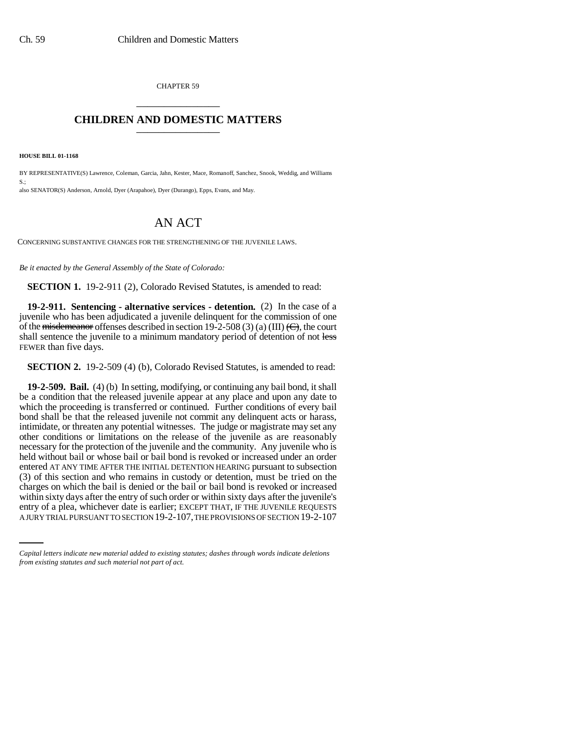CHAPTER 59 \_\_\_\_\_\_\_\_\_\_\_\_\_\_\_

## **CHILDREN AND DOMESTIC MATTERS** \_\_\_\_\_\_\_\_\_\_\_\_\_\_\_

**HOUSE BILL 01-1168**

BY REPRESENTATIVE(S) Lawrence, Coleman, Garcia, Jahn, Kester, Mace, Romanoff, Sanchez, Snook, Weddig, and Williams  $S.$ also SENATOR(S) Anderson, Arnold, Dyer (Arapahoe), Dyer (Durango), Epps, Evans, and May.

## AN ACT

CONCERNING SUBSTANTIVE CHANGES FOR THE STRENGTHENING OF THE JUVENILE LAWS.

*Be it enacted by the General Assembly of the State of Colorado:*

**SECTION 1.** 19-2-911 (2), Colorado Revised Statutes, is amended to read:

**19-2-911. Sentencing - alternative services - detention.** (2) In the case of a juvenile who has been adjudicated a juvenile delinquent for the commission of one of the <del>misdemeanor</del> offenses described in section 19-2-508 (3) (a) (III)  $\left(\frac{C}{C}\right)$ , the court shall sentence the juvenile to a minimum mandatory period of detention of not less FEWER than five days.

**SECTION 2.** 19-2-509 (4) (b), Colorado Revised Statutes, is amended to read:

within sixty days after the entry of such order or within sixty days after the juvenile's **19-2-509. Bail.** (4) (b) In setting, modifying, or continuing any bail bond, it shall be a condition that the released juvenile appear at any place and upon any date to which the proceeding is transferred or continued. Further conditions of every bail bond shall be that the released juvenile not commit any delinquent acts or harass, intimidate, or threaten any potential witnesses. The judge or magistrate may set any other conditions or limitations on the release of the juvenile as are reasonably necessary for the protection of the juvenile and the community. Any juvenile who is held without bail or whose bail or bail bond is revoked or increased under an order entered AT ANY TIME AFTER THE INITIAL DETENTION HEARING pursuant to subsection (3) of this section and who remains in custody or detention, must be tried on the charges on which the bail is denied or the bail or bail bond is revoked or increased entry of a plea, whichever date is earlier; EXCEPT THAT, IF THE JUVENILE REQUESTS A JURY TRIAL PURSUANT TO SECTION 19-2-107, THE PROVISIONS OF SECTION 19-2-107

*Capital letters indicate new material added to existing statutes; dashes through words indicate deletions from existing statutes and such material not part of act.*